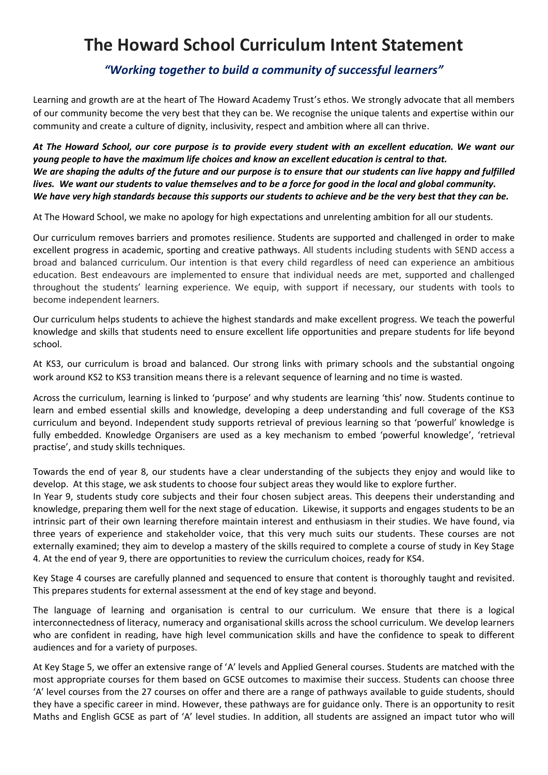## **The Howard School Curriculum Intent Statement**

## *"Working together to build a community of successful learners"*

Learning and growth are at the heart of The Howard Academy Trust's ethos. We strongly advocate that all members of our community become the very best that they can be. We recognise the unique talents and expertise within our community and create a culture of dignity, inclusivity, respect and ambition where all can thrive.

*At The Howard School, our core purpose is to provide every student with an excellent education. We want our young people to have the maximum life choices and know an excellent education is central to that. We are shaping the adults of the future and our purpose is to ensure that our students can live happy and fulfilled lives. We want our students to value themselves and to be a force for good in the local and global community. We have very high standards because this supports our students to achieve and be the very best that they can be.*

At The Howard School, we make no apology for high expectations and unrelenting ambition for all our students.

Our curriculum removes barriers and promotes resilience. Students are supported and challenged in order to make excellent progress in academic, sporting and creative pathways. All students including students with SEND access a broad and balanced curriculum. Our intention is that every child regardless of need can experience an ambitious education. Best endeavours are implemented to ensure that individual needs are met, supported and challenged throughout the students' learning experience. We equip, with support if necessary, our students with tools to become independent learners.

Our curriculum helps students to achieve the highest standards and make excellent progress. We teach the powerful knowledge and skills that students need to ensure excellent life opportunities and prepare students for life beyond school.

At KS3, our curriculum is broad and balanced. Our strong links with primary schools and the substantial ongoing work around KS2 to KS3 transition means there is a relevant sequence of learning and no time is wasted.

Across the curriculum, learning is linked to 'purpose' and why students are learning 'this' now. Students continue to learn and embed essential skills and knowledge, developing a deep understanding and full coverage of the KS3 curriculum and beyond. Independent study supports retrieval of previous learning so that 'powerful' knowledge is fully embedded. Knowledge Organisers are used as a key mechanism to embed 'powerful knowledge', 'retrieval practise', and study skills techniques.

Towards the end of year 8, our students have a clear understanding of the subjects they enjoy and would like to develop. At this stage, we ask students to choose four subject areas they would like to explore further.

In Year 9, students study core subjects and their four chosen subject areas. This deepens their understanding and knowledge, preparing them well for the next stage of education. Likewise, it supports and engages students to be an intrinsic part of their own learning therefore maintain interest and enthusiasm in their studies. We have found, via three years of experience and stakeholder voice, that this very much suits our students. These courses are not externally examined; they aim to develop a mastery of the skills required to complete a course of study in Key Stage 4. At the end of year 9, there are opportunities to review the curriculum choices, ready for KS4.

Key Stage 4 courses are carefully planned and sequenced to ensure that content is thoroughly taught and revisited. This prepares students for external assessment at the end of key stage and beyond.

The language of learning and organisation is central to our curriculum. We ensure that there is a logical interconnectedness of literacy, numeracy and organisational skills across the school curriculum. We develop learners who are confident in reading, have high level communication skills and have the confidence to speak to different audiences and for a variety of purposes.

At Key Stage 5, we offer an extensive range of 'A' levels and Applied General courses. Students are matched with the most appropriate courses for them based on GCSE outcomes to maximise their success. Students can choose three 'A' level courses from the 27 courses on offer and there are a range of pathways available to guide students, should they have a specific career in mind. However, these pathways are for guidance only. There is an opportunity to resit Maths and English GCSE as part of 'A' level studies. In addition, all students are assigned an impact tutor who will